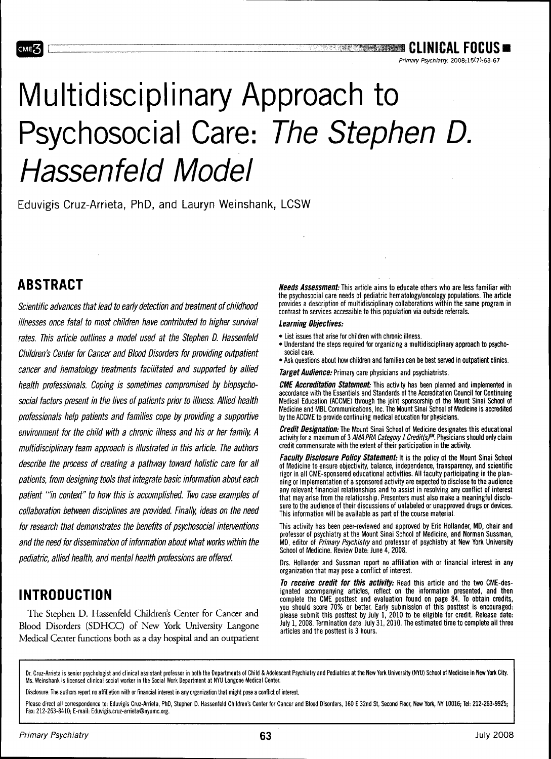#### **s Clinical Focus** Chinical Focus

Primary Psychiatry. 2008;15(7):63-57

# Multidisciplinary Approach to Psychosocial Care: The Stephen D. Hassenfeld Model

Eduvigis Cruz-Arrieta, PhD, and Lauryn Weinshank, LCSW

## **ABSTRACT**

мє 3

Scientific advances that lead to early detection and treatment of childhood illnesses once fatal to most children have contributed to higher survival rates. This article outlines a model used at the Stephen D. Hassenfeld Children's Center for Cancer and Blood Disorders for providing outpatient cancer and hematology treatments facilitated and supported by allied health professionals. Coping is sometimes compromised by biopsychosocial factors present in the lives of patients prior to illness. Allied health professionals help patients and families cope by providing a supportive environment for the child with a chronic illness and his or her family. A multidisciplinary team approach is illustrated in this article. The authors describe the process of creating a pathway toward holistic care for all patients, from designing tools that integrate basic information about each patient "in context" to how this is accomplished. Two case examples of collaboration between disciplines are provided. Finally, ideas on the need for research that demonstrates the benefits of psychosocial interventions and the need for dissemination of information about what works within the pediatric, allied health, and mental health professions are offered.

# **INTRODUCTION**

The Stephen D. Hassenfeld Children's Center for Cancer and Blood Disorders (SDHCC) of New York University Langone Medical Center functions both as a day hospital and an outpatient

**Needs Assessment:** This article aims to educate others who are less tamiliar with the psychosocial care needs of pediatric hematology/oncology populations. The article provides a description of multidisciplinary collaborations within the same program in contrast to services accessibie to this population via outside referrais.

#### Learning Objectives:

- List issues that arise for children with chronic illness.
- Understand the steps required for organizing a multidisciplinary approach to psychosocial care.
- Ask questions about how children and families can be best served in outpatient clinics.

**Target Audience:** Primary care physicians and psychiatrists.

**CME Accreditation Statement:** This activity has been planned and implemented in accordance with the Essentials and Standards of the Accreditation Council for Continuing Medical Education (ACCME) through the joint sponsorship of the Mount Sinai School of Medicine and MBL Communications, Inc. The Mount Sinai School of Medicine is accredited by the ACCME to provide continuing medical education for physicians.

**Credit Designation:** Ihe Mount Sinai School of Medicine designates this educational activity for a maximum of 3 AMA PRA Category 1 Credit(s)<sup>TM</sup>. Physicians should only claim credit commensurate with the extent of their participation in the activity.

**Faculty Disclosure Policy Statement:** It is the policy of the Mount Sinai School of Medicine to ensure objectivity, balance, independence, transparency, and scientific rigor in all CME-sponsored educational activities. All faculty participating in the planning or implementation of a sponsored activity are expected to disclose to the audience any relevant financial relationships and to assist in resolving any conflict of interest that may arise from the relationship. Presenters must also make a meaningful disclosure to the audience of their discussions of unlabeled or unapproved drugs or devices. This information will be available as part of the course material.

This activity has been peer-reviewed and approved by Eric Hollander, MD, chair and professor of psychiatry at the Mount Sinai School of Medicine, and Norman Sussman, MD, editor of Primary Psychiatry and professor of psychiatry at New York University School of Medicine. Review Date: June 4,2008.

Drs. Hollander and Sussman report no affiliation with or financial interest in any organization that may pose a conflict of interest.

**To receive credit tor this activity:** Read this article and the two CME-designated accompanying articles, reflect on the information presented, and then complete the CME posttest and evaluation found on page 84. To obtain credits, you should score 70% or better. Early submission of this posttest is encouraged: please submit this posttest by July 1, 2010 to be eligible for credit. Release date: July 1,2008. Termination date: July 31,2010. The estimated time to complete all three articles and the posttest is 3 hours.

Dr. Cruz-Arrieta is senior psychologist and clinical assistant professor in both the Departments of Child & Adolescent Psychiatry and Pediatrics at the New York University (NYU) School of Medicine in New York City. Ms. Weinshank is licensed clinical social worker in the Social Work Department at NYU Langone Medical Center.

Disclosure: The authors report no affiliation with or financial interest in any organization that might pose a conflict of interest.

Please direct all correspondence to: Eduvigis Cruz-Arrieta, PhD, Stephen D. Hassenfeld Children's Center for Cancer and Blood Disorders, 160 E 32nd St, Second Floor, **New York, NY 10016; Tel: 212-263-99Z5;** Fax: 212-263-8410; E-mail: Eduvigis.cruz-arrieta@nyumc.org.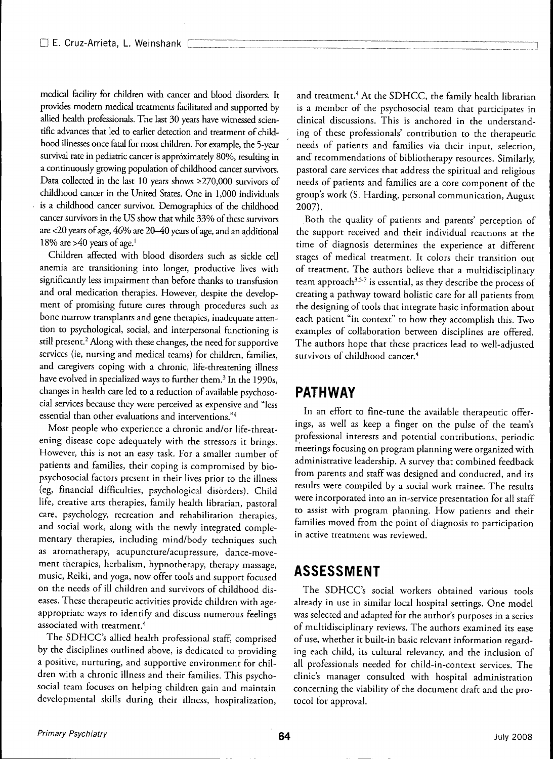medical facility for children with cancer and blood disorders. It provides modern medical treatments facilitated and supported by allied health professionals. The last 30 years have witnessed scientific advances that led to earlier detection and treatment of childhood illnesses once fatal for most children. For example, the 5-year survival rate in pediatric cancer is approximately 80%, resulting in a continuously growing population of childhood cancer survivors. Data collected in the last 10 years shows  $\geq$ 270,000 survivors of childhood cancer in the United States. One in 1,000 individuals is a childhood cancer survivor. Demographics of the childhood cancer survivors in the US show that while 33% of these survivors are <20 years of age, 46% are 20-40 years of age, and an additional 18% are  $>40$  years of age.<sup>1</sup>

Children affected with blood disorders such as sickle cell anemia are transitioning into longer, productive lives with significandy less impairment than before thanks to transfusion and oral medication therapies. However, despite the development of promising future cures through procedures such as bone marrow transplants and gene therapies, inadequate attention to psychological, social, and interpersonal functioning is still present.<sup>2</sup> Along with these changes, the need for supportive services (ie, nursing and medical teams) for children, families, and caregivers coping with a chronic, life-threatening illness have evolved in specialized ways to further them.<sup>3</sup> In the 1990s, changes in health care led to a reduction of available psychosocial services because they were perceived as expensive and "less essential than other evaluations and interventions."4

Most people who experience a chronic and/or life-threatening disease cope adequately with the stressors it brings. However, this is not an easy task. For a smaller number of patients and families, their coping is compromised by biopsychosocial factors present in their lives prior to the illness (eg, fmancial difficulties, psychological disorders). Child life, creative arts therapies, family health librarian, pastoral care, psychology, recreation and rehabilitation therapies, and social work, along with the newly integrated complementary therapies, including mind/body techniques such as aromatherapy, acupuncture/acupressure, dance-movement therapies, herbalism, hypnotherapy, therapy massage, music, Reiki, and yoga, now offer tools and support focused on the needs of ill children and survivors of childhood diseases. These therapeutic activities provide children with ageappropriate ways to identify and discuss numerous feelings associated with treatment.<sup>4</sup>

The SDHCC's allied health professional staff, comprised by the disciplines outlined above, is dedicated to providing a positive, nurturing, and supportive environment for children with a chronic illness and their families. This psychosocial team focuses on helping children gain and maintain developmental skills during their illness, hospitalization.

and treatment.<sup>4</sup> At the SDHCC, the family health librarian is a member of the psychosocial team that participates in clinical discussions. This is anchored in the understanding of these professionals' contribution to the therapeutic needs of patients and families via their input, selection, and recommendations of bibliotherapy resources. Similarly, pastoral care services that address the spiritual and religious needs of patients and families are a core component of the group's work (S. Harding, personal communication, August 2007).

Both the quality of patients and parents' perception of the support received and their individual reactions at the time of diagnosis determines the experience at different stages of medical treatment. It colors their transition out of treatment. The authors believe that a multidisciplinary team approach<sup>3,5-7</sup> is essential, as they describe the process of creating a pathway toward holistic care for all patients from the designing of tools that integrate basic information about each patient "in context" to how they accomplish this. Two examples of collaboration between disciplines are offered. The authors hope that these practices lead to well-adjusted survivors of childhood cancer.<sup>4</sup>

## **PATHWAY**

In an effort to fine-tune the available therapeutic offerings, as well as keep a fmger on the pulse of the team's professional interests and potential contributions, periodic meetings focusing on program planning were organized with administrative leadership. A survey that combined feedback from parents and staff was designed and conducted, and its results were compiled by a social work trainee. The results were incorporated into an in-service presentation for all staff to assist with program planning. How patients and their families moved from the point of diagnosis to participation in active treatment was reviewed.

## **ASSESSMENT**

The SDHCC's social workers obtained various tools already in use in similar local hospital settings. One model was selected and adapted for the author's purposes in a series of multidisciplinary reviews. The authors examined its ease of use, whether it built-in basic relevant information regarding each child, its cultural relevancy, and the inclusion of all professionals needed for child-in-context services. The clinic's manager consulted with hospital administration concerning the viability of the document draft and the protocol for approval.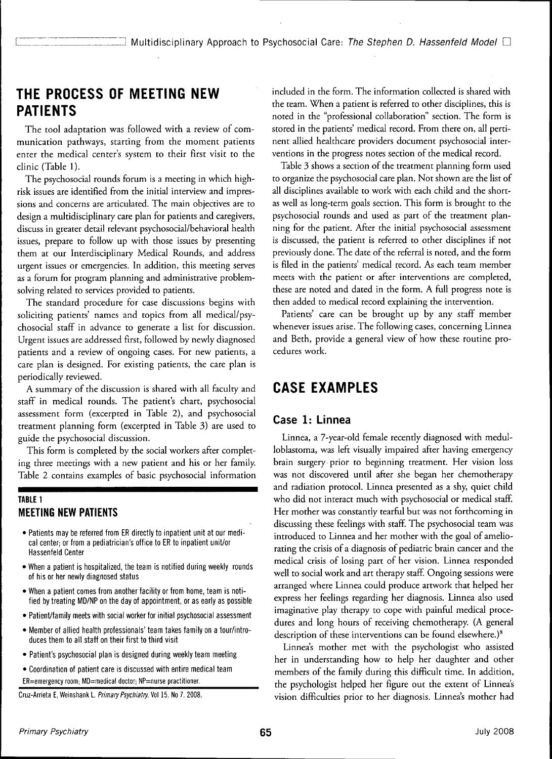## **THE PROCESS OF MEETING NEW PATIENTS**

The tool adaptation was followed with a review of communication pathways, starting from the moment patients enter the medical center's system to their first visit to the clinic (Table 1).

The psychosocial rounds forum is a meeting in which highrisk issues are identified from the initial interview and impressions and concerns are articulated. The main objectives are to design a multidisciplinary care plan for patients and caregivers, discuss in greater detail relevant psychosocial/behavioral health issues, prepare to follow up with those issues by presenting them at our Interdisciplinary Medical Rounds, and address urgent issues or emergencies. In addition, this meeting serves as a forum for program planning and administrative problemsolving related to services provided to patients.

The standard procedure for case discussions begins with soliciting patients' names and topics from all medical/psychosocial staff in advance to generate a list for discussion. Urgent issues are addressed first, followed by newly diagnosed patients and a review of ongoing cases. For new patients, a care plan is designed. For existing patients, the care plan is periodically reviewed.

A summary of the discussion is shared with all faculty and staff in medical rounds. The patient's chart, psychosocial assessment form (excerpted in Table 2), and psychosocial treatment planning form (excerpted in Table 3) are used to guide the psychosocial discussion.

This form is completed by the social workers after completing three meetings with a new patient and his or her family. Table 2 contains examples of basic psychosocial information

#### TABLE 1 **MEETING NEW PATIENTS**

- Patients may be referred from ER directly to inpatient unit at our medical center; or from a pediatrician's office to ER to inpatient unit/or Hassenfeld Center
- When a patient is hospitalized, the team is notified during weekly rounds of his or her newly diagnosed status
- When a patient comes from another facility or from home, team is notified by treating MD/NP on the day of appointment, or as early as possible
- Patient/family meets with social worker for initial psychosocial assessment
- Member of allied health professionals' team takes family on a tour/introduces them to all staff on their first to third visit
- Patient's psychosocial plan is designed during weekly team meeting

• Coordination of patient care is discussed with entire medical team ER=emergency room; MD=medical doctor; NP=nurse practitioner.

Cruz-Arrieta E, Weinshank L. Primary Psychiatry. Vol 15. No 7. 2008.

included in the form. The information collected is shared with the team. When a patient is referred to other disciplines, this is noted in the "professional collaboration" section. The form is stored in the patients' medical record. From there on, all pertinent allied healthcare providers document psychosocial interventions in the progress notes section of the medical record.

Table 3 shows a section of the treatment planning form used to organize the psychosocial care plan. Not shown are the list of all disciplines available to work with each child and the shortas well as long-term goals section. This form is brought to the psychosocial rounds and used as part of the treatment planning for the patient. After the initial psychosocial assessment is discussed, the patient is referred to other disciplines if not previously done. The date of the referral is noted, and the form is filed in the patients' medical record. As each team member meets with the patient or after interventions are completed, these are noted and dated in the form. A full progress note is then added to medical record explaining the intervention.

Patients' care can be brought up by any staff member whenever issues arise. The following cases, concerning Linnea and Beth, provide a general view of how these routine procedures work.

## **CASE EXAMPLES**

#### **Case 1: Linnea**

Linnea, a 7-year-old female recently diagnosed with medulloblastoma, was left visually impaired after having emergency brain surgery prior to beginning treatment. Her vision loss was not discovered until after she began her chemotherapy and radiation protocol. Linnea presented as a shy, quiet child who did not interact much with psychosocial or medical staff. Her mother was constantly tearful but was not forthcoming in discussing these feelings with staff. The psychosocial team was introduced to Linnea and her mother with the goal of ameliorating the crisis of a diagnosis of pediatric brain cancer and the medical crisis of losing part of her vision. Linnea responded well to social work and art therapy staff. Ongoing sessions were arranged where Linnea could produce artwork that helped her express her feelings regarding her diagnosis. Linnea also used imaginative play therapy to cope with painful medical procedures and long hours of receiving chemotherapy. (A general description of these interventions can be found elsewhere.)<sup>8</sup>

Linnea's mother met with the psychologist who assisted her in understanding how to help her daughter and other members of the family during this difficult time. In addition, the psychologist helped her figure out the extent of Linnea's vision difficulties prior to her diagnosis. Linnea's mother had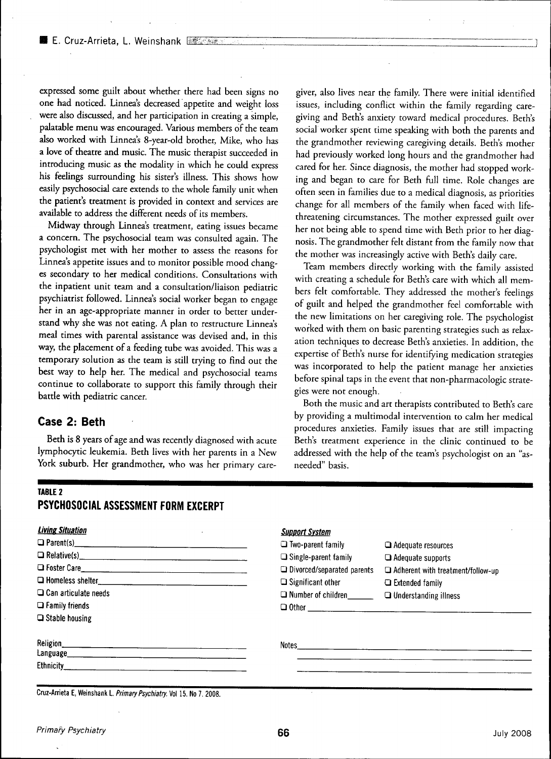expressed some guilt about whether there had been signs no one had noticed. Linnea's decreased appetite and weight loss were also discussed, and her participation in creating a simple, palatable menu was encouraged. Various members of the team also worked with Linnea's 8-year-old brother, Mike, who has a love of theatre and music. The music therapist succeeded in introducing music as the modality in which he could express his feelings surrounding his sister's illness. This shows how easily psychosocial care extends to the whole family unit when the patient's treatment is provided in context and services are available to address the different needs of its members.

Midway through Linnea's treatment, eating issues became a concern. The psychosocial team was consulted again. The psychologist met with her mother to assess the reasons for Linnea's appetite issues and to monitor possible mood changes secondary to her medical conditions. Consultations with the inpatient unit team and a consultation/liaison pediatric psychiatrist followed. Linnea's social worker began to engage her in an age-appropriate manner in order to better understand why she was not eating. A plan to restructure Linnea's meal times with parental assistance was devised and, in this way, the placement of a feeding tube was avoided. This was a temporary solution as the team is still trying to find out the best way to help her. The medical and psychosocial teams continue to collaborate to support this family through their battle with pediatric cancer.

#### **Case 2: Beth**

Beth is 8 years of age and was recently diagnosed with acute lymphocytic leukemia. Beth lives with her parents in a New York suburb. Her grandmother, who was her primary care-

giver, also lives near the family. There were initial identified issues, including conflict within the family regarding caregiving and Beth's anxiety toward fnedical procedures. Beth's social worker spent time speaking with both the parents and the grandmother reviewing caregiving details. Beth's mother had previously worked long hours and the grandmother had cared for her. Since diagnosis, the mother had stopped working and began to care for Beth full time. Role changes are often seen in families due to a medical diagnosis, as priorities change for all members of the family when faced with lifethreatening circumstances. The mother expressed guilt over her not being able to spend time with Beth prior to her diagnosis. The grandmother felt distant from the family now that the mother was increasingly active with Beth's daily care.

Team members directly working with the family assisted with creating a schedule for Beth's care with which all members felt comfortable. They addressed the mother's feelings of guilt and helped the grandmother feel comfortable with the new limitations on her caregiving role. The psychologist worked with them on basic parenting strategies such as relaxation techniques to decrease Beth's anxieties. In addition, the expertise of Beth's nurse for identifying medication strategies was incorporated to help the patient manage her anxieties before spinal taps in the event that non-pharmacologic strategies were not enough.

Both the music and art therapists contributed to Beth's care by providing a multimodal intervention to calm her medical procedures anxieties. Family issues that are still impacting Beth's treatment experience in the clinic continued to be addressed with the help of the team's psychologist on an "asneeded" basis.

#### **TABLE 2 PSYCHOSOCIAL ASSESSMENT FORM EXCERPT**

| <b>Living Situation</b><br>$\Box$ Parent(s)<br>D Foster Care<br>$\Box$ Can articulate needs<br>$\Box$ Family friends<br>$\Box$ Stable housing | <b>Support System</b><br>$\Box$ Two-parent family<br>$\Box$ Single-parent family<br>$\Box$ Divorced/separated parents<br>$\Box$ Significant other<br>$\Box$ Number of children | $\Box$ Adequate resources<br>$\Box$ Adequate supports<br>$\Box$ Adherent with treatment/follow-up<br>$\Box$ Extended family<br>$\Box$ Understanding illness |
|-----------------------------------------------------------------------------------------------------------------------------------------------|--------------------------------------------------------------------------------------------------------------------------------------------------------------------------------|-------------------------------------------------------------------------------------------------------------------------------------------------------------|
| <b>Religion</b><br>Ethnicity_                                                                                                                 | Notes                                                                                                                                                                          |                                                                                                                                                             |

Cruz-Arrieta E, Weinshank L. Primary Psychiatry. Vol 15. No 7. 2008.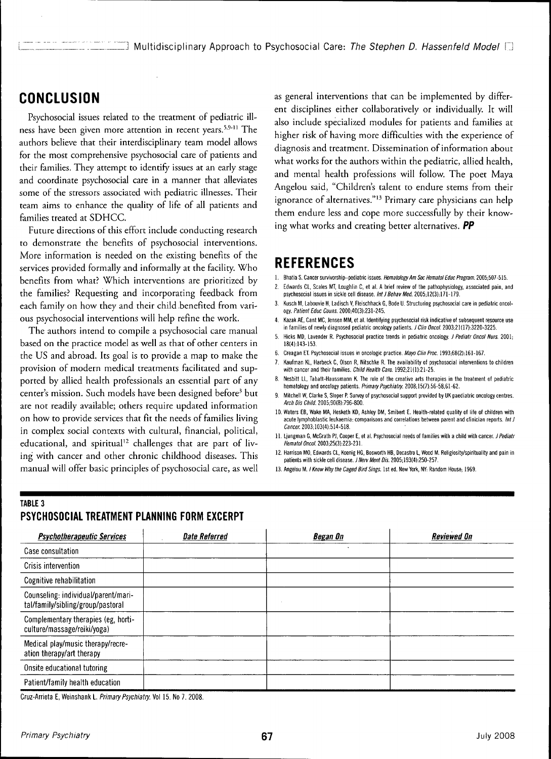## **CONCLUSION**

Psychosocial issues related to the treatment of pediatric illness have been given more attention in recent years.<sup>5,9-11</sup> The authors believe that their interdisciplinary team model allows for the most comprehensive psychosocial care of patients and their families. They attempt to identify issues at an early stage and coordinate psychosocial care in a manner that alleviates some of the stressors associated with pediatric illnesses. Their team aims to enhance the quality of life of all patients and families treated at SDHCC.

Future directions of this effort include conducting research to demonstrate the benefits of psychosocial interventions. More information is needed on the existing benefits of the services provided formally and informally at the facility. Who benefits from what? Which interventions are prioritized by the families? Requesting and incorporating feedback from each family on how they and their child benefited from various psychosocial interventions will help refine the work.

The authors intend to compile a psychosocial care manual based on the practice model as well as that of other centers in the US and abroad. Its goal is to provide a map to make the provision of modern medical treatments facilitated and supported by allied health professionals an essential part of any center's mission. Such models have been designed before' but are not readily available; others require updated information on how to provide services that fit the needs of families living in complex social contexts with cultural, financial, political, educational, and spiritual<sup>12</sup> challenges that are part of living with cancer and other chronic childhood diseases. This manual will offer basic principles of psychosocial care, as well

as general interventions that can be implemented by different disciplines either collaboratively or individually. It will also include specialized modules for patients and families at higher risk of having more difficulties with the experience of diagnosis and treatment. Dissemination of information about what works for the authors within the pediatric, allied health, and mental health professions will follow. The poet Maya Angelou said, "Children's talent to endure stems from their ignorance of alternatives."<sup>13</sup> Primary care physicians can help them endure less and cope more successfully by their knowing what works and creating better alternatives. *PP*

### **REFERENCES**

- 1. Bhatia S. Cancer survivorship-pediatric issues. Hematology Am Soc Hematol Educ Program. 2005;507-515.
- 2. Edwards CL, Scales MT, Loughlin C, et al. A brief review of fhe paffiophysiology, associated pain, and psychosocial issues in sickle cell disease. Int J Behav Med. 2005;12(3):171-179.
- Kusch M, Labouvie H, Ladisch V, Fleischhack G, Bode U. Structuring psychosocial care in pediatric oncology. Patient Educ Couns. 2000;40(3):231-245.
- 4. Kazak AE, Cant MC, Jensen MM, et al. Identifying psychosocial risk indicative of subsequent resource use in families of newly diagnosed pediatric oncology patients. *J Clin Oncol.* 2003;21(17):3220-3225.
- Hicks MD, Lavender R. Psychosocial practice trends in pediatric oncology. J Pediatr Oncol Nurs. 2001; 18(4);143-153.
- 6. Creagan ET. Psychosocial issues in oncologic practice. Mayo Clin Proc. 1993;68(2):161-167.
- Kaufman KL, Harbeck C, Olson R, Nitschke R. The availability of psychosocial interventions to children with cancer and their families. Child Health Care. 1992;21(1):21-25.
- 8. Nesbitt LL, Tabatt-Haussmann K. The role of the creative arts therapies in the treatment of pediatric hematology and oncology patients. Primary Psychiatry. 2008;15(7):56-58,61-62.
- Mitchell W, Clarke S, Sloper P. Survey of psychosocial support provided by UK paediatric oncology centres. Arch Dis Child. 2005;90(8):796-800.
- 10. Waters EB, Wake MA, Hesketh KD, Ashley DM, Smibert E. Health-related quality of life of children with acute lymphoblastic leukaemia: comparisons and correlations between parent and clinician reports. Int J Cancer. 2003;103(4):514-518.
- 11. Ljungman G, McGrath PJ, Cooper E, et al. Psychosocial needs of families with a child with cancer. J Pediatr Hematol Oncol. 2003;25(3):223-231.
- 12. Harrison MO, Edwards GL, Koenig HG, Boswortb HB, Decastro L, Wood M. Religiosity/spirituality and pain in patients with sickle celi disease. J Nerv Ment Dis. 2005;193(4):250-257.
- 13. Angelou M. I Know Why the Caged Bird Sings. 1st ed. New York, NY: Random House; 1969.

#### **TABLE 3**

| <b>Psychotherapeutic Services</b>                                        | <b>Date Referred</b> | Began On     | <b>Reviewed On</b> |
|--------------------------------------------------------------------------|----------------------|--------------|--------------------|
| Case consultation                                                        |                      | $\mathbf{r}$ |                    |
| Crisis intervention                                                      |                      |              |                    |
| Cognitive rehabilitation                                                 |                      |              |                    |
| Counseling: individual/parent/mari-<br>tal/family/sibling/group/pastoral |                      |              |                    |
| Complementary therapies (eg, horti-<br>culture/massage/reiki/yoga)       |                      |              |                    |
| Medical play/music therapy/recre-<br>ation therapy/art therapy           |                      |              |                    |
| Onsite educational tutoring                                              |                      |              |                    |
| Patient/family health education                                          |                      |              |                    |

#### **PSYCHOSOCIAL TREATMENT PLANNING FORM EXCERPT**

Cruz-Arrieta E, Weinshank L. Primary Psychiatry. Vol 15. No 7. 2008.